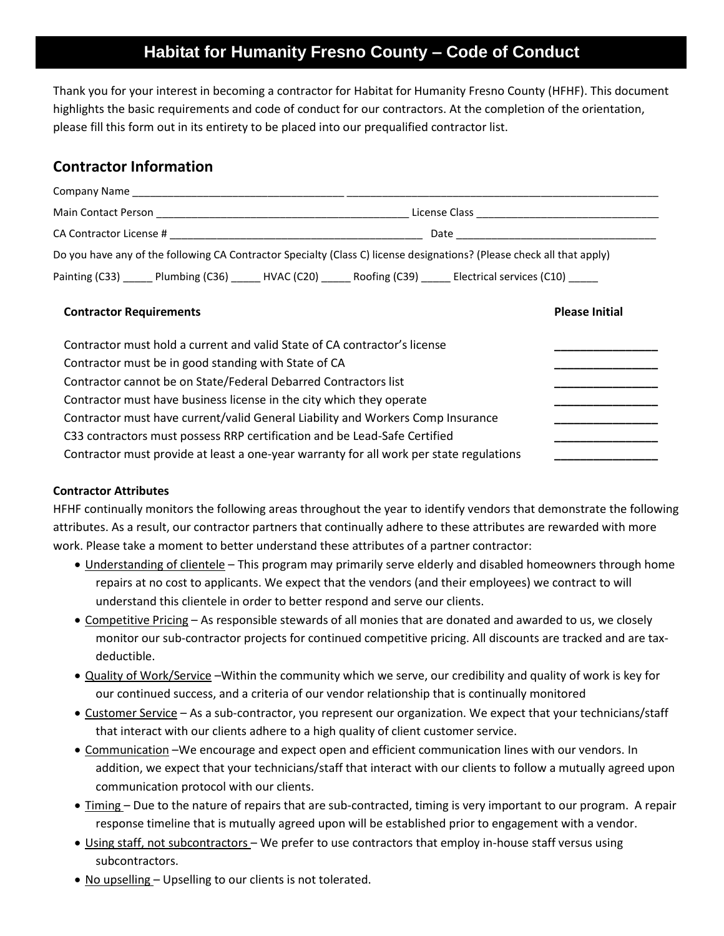## **Habitat for Humanity Fresno County – Code of Conduct**

Thank you for your interest in becoming a contractor for Habitat for Humanity Fresno County (HFHF). This document highlights the basic requirements and code of conduct for our contractors. At the completion of the orientation, please fill this form out in its entirety to be placed into our prequalified contractor list.

## **Contractor Information**

|                                | Do you have any of the following CA Contractor Specialty (Class C) license designations? (Please check all that apply) |
|--------------------------------|------------------------------------------------------------------------------------------------------------------------|
|                                | Painting (C33) _______Plumbing (C36) _______HVAC (C20) ________Roofing (C39) ________Electrical services (C10) _____   |
| <b>Contractor Requirements</b> | <b>Please Initial</b>                                                                                                  |

| Contractor must hold a current and valid State of CA contractor's license               |  |
|-----------------------------------------------------------------------------------------|--|
| Contractor must be in good standing with State of CA                                    |  |
| Contractor cannot be on State/Federal Debarred Contractors list                         |  |
| Contractor must have business license in the city which they operate                    |  |
| Contractor must have current/valid General Liability and Workers Comp Insurance         |  |
| C33 contractors must possess RRP certification and be Lead-Safe Certified               |  |
| Contractor must provide at least a one-year warranty for all work per state regulations |  |
|                                                                                         |  |

## **Contractor Attributes**

HFHF continually monitors the following areas throughout the year to identify vendors that demonstrate the following attributes. As a result, our contractor partners that continually adhere to these attributes are rewarded with more work. Please take a moment to better understand these attributes of a partner contractor:

- Understanding of clientele This program may primarily serve elderly and disabled homeowners through home repairs at no cost to applicants. We expect that the vendors (and their employees) we contract to will understand this clientele in order to better respond and serve our clients.
- Competitive Pricing As responsible stewards of all monies that are donated and awarded to us, we closely monitor our sub-contractor projects for continued competitive pricing. All discounts are tracked and are taxdeductible.
- Quality of Work/Service –Within the community which we serve, our credibility and quality of work is key for our continued success, and a criteria of our vendor relationship that is continually monitored
- Customer Service As a sub-contractor, you represent our organization. We expect that your technicians/staff that interact with our clients adhere to a high quality of client customer service.
- Communication –We encourage and expect open and efficient communication lines with our vendors. In addition, we expect that your technicians/staff that interact with our clients to follow a mutually agreed upon communication protocol with our clients.
- Timing Due to the nature of repairs that are sub-contracted, timing is very important to our program. A repair response timeline that is mutually agreed upon will be established prior to engagement with a vendor.
- Using staff, not subcontractors We prefer to use contractors that employ in-house staff versus using subcontractors.
- No upselling Upselling to our clients is not tolerated.